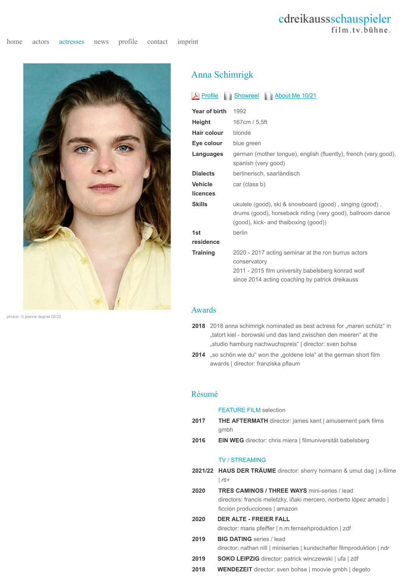# cdreikaussschauspieler film.tv.bühne.



photos: © jeanne degraa 05/22

## Anna Schimrigk

### A Profile | Showreel | About Me 10/21

| Year of birth      | 1992                                                                                                                                                                         |
|--------------------|------------------------------------------------------------------------------------------------------------------------------------------------------------------------------|
| Height             | 167cm / 5,5ft                                                                                                                                                                |
| <b>Hair colour</b> | blonde                                                                                                                                                                       |
| Eye colour         | blue green                                                                                                                                                                   |
| Languages          | german (mother tongue), english (fluently), french (very good),<br>spanish (very good)                                                                                       |
| <b>Dialects</b>    | berlinerisch, saarländisch                                                                                                                                                   |
| <b>Vehicle</b>     | car (class b)                                                                                                                                                                |
| licences           |                                                                                                                                                                              |
| <b>Skills</b>      | ukulele (good), ski & snowboard (good), singing (good),<br>drums (good), horseback riding (very good), ballroom dance<br>(good), kick- and thaiboxing (good))                |
| 1st                | berlin                                                                                                                                                                       |
| residence          |                                                                                                                                                                              |
| <b>Training</b>    | 2020 - 2017 acting seminar at the ron burrus actors<br>conservatory<br>2011 - 2015 film university babelsberg konrad wolf<br>since 2014 acting coaching by patrick dreikauss |

#### Awards

- **2018** 2018 anna schimrigk nominated as best actress for "maren schütz" in "tatort kiel - borowski und das land zwischen den meeren" at the "studio hamburg nachwuchspreis" | director: sven bohse
- **2014** "so schön wie du" won the "goldene lola" at the german short film awards | director: franziska pflaum

#### Résumé

#### FEATURE FILM selection

- 2017 THE AFTERMATH director: james kent | amusement park films gmbh
- **2016 EIN WEG** director: chris miera | filmuniversität babelsberg

#### TV / STREAMING

- **2021/22 HAUS DER TRÄUME** director: sherry hormann & umut dag | x-filme  $|$  rtl+
- **2020 TRES CAMINOS / THREE WAYS** mini-series / lead directors: francis meletzky, iñaki mercero, norberto lópez amado | ficción producciones | amazon
- **2020 DER ALTE FREIER FALL** director: maris pfeiffer | n.m.fernsehproduktion | zdf 2019 **BIG DATING** series / lead
	- director: nathan nill | miniseries | kundschafter filmproduktion | ndr
- 2019 **SOKO LEIPZIG** director: patrick winczewski | ufa | zdf
- **2018 WENDEZEIT** director: sven bohse | moovie gmbh | degeto